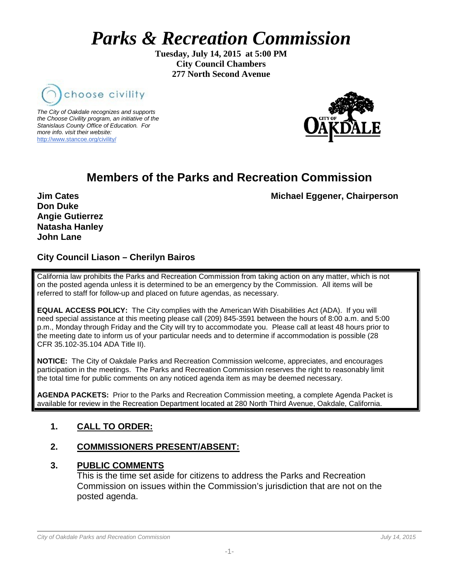# *Parks & Recreation Commission*

**Tuesday, July 14, 2015 at 5:00 PM City Council Chambers 277 North Second Avenue**



*The City of Oakdale recognizes and supports the Choose Civility program, an initiative of the Stanislaus County Office of Education. For more info. visit their website:* [http://www.stancoe.org/civility/](http://links.schoolloop.com/link/rd?href=736c5f6c696e6b6666303163633065623266687474703a2f2f7777772e7374616e636f652e6f72672f636976696c6974792f)



# **Members of the Parks and Recreation Commission**

**Jim Cates** Michael Eggener, Chairperson

**Don Duke Angie Gutierrez Natasha Hanley John Lane**

# **City Council Liason – Cherilyn Bairos**

California law prohibits the Parks and Recreation Commission from taking action on any matter, which is not on the posted agenda unless it is determined to be an emergency by the Commission. All items will be referred to staff for follow-up and placed on future agendas, as necessary.

**EQUAL ACCESS POLICY:** The City complies with the American With Disabilities Act (ADA). If you will need special assistance at this meeting please call (209) 845-3591 between the hours of 8:00 a.m. and 5:00 p.m., Monday through Friday and the City will try to accommodate you. Please call at least 48 hours prior to the meeting date to inform us of your particular needs and to determine if accommodation is possible (28 CFR 35.102-35.104 ADA Title II).

**NOTICE:** The City of Oakdale Parks and Recreation Commission welcome, appreciates, and encourages participation in the meetings. The Parks and Recreation Commission reserves the right to reasonably limit the total time for public comments on any noticed agenda item as may be deemed necessary.

**AGENDA PACKETS:** Prior to the Parks and Recreation Commission meeting, a complete Agenda Packet is available for review in the Recreation Department located at 280 North Third Avenue, Oakdale, California.

# **1. CALL TO ORDER:**

# **2. COMMISSIONERS PRESENT/ABSENT:**

#### **3. PUBLIC COMMENTS**

This is the time set aside for citizens to address the Parks and Recreation Commission on issues within the Commission's jurisdiction that are not on the posted agenda.